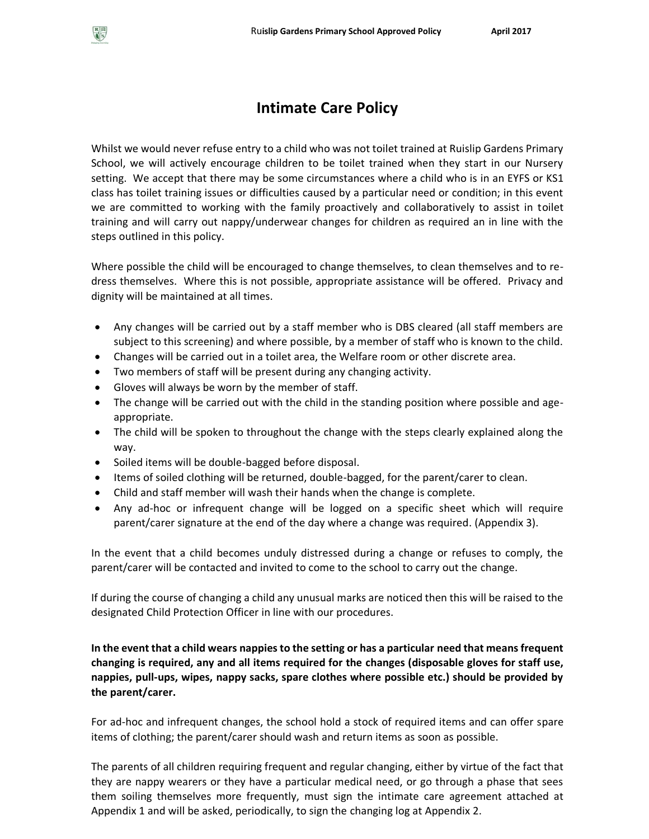

# **Intimate Care Policy**

Whilst we would never refuse entry to a child who was not toilet trained at Ruislip Gardens Primary School, we will actively encourage children to be toilet trained when they start in our Nursery setting. We accept that there may be some circumstances where a child who is in an EYFS or KS1 class has toilet training issues or difficulties caused by a particular need or condition; in this event we are committed to working with the family proactively and collaboratively to assist in toilet training and will carry out nappy/underwear changes for children as required an in line with the steps outlined in this policy.

Where possible the child will be encouraged to change themselves, to clean themselves and to redress themselves. Where this is not possible, appropriate assistance will be offered. Privacy and dignity will be maintained at all times.

- Any changes will be carried out by a staff member who is DBS cleared (all staff members are subject to this screening) and where possible, by a member of staff who is known to the child.
- Changes will be carried out in a toilet area, the Welfare room or other discrete area.
- Two members of staff will be present during any changing activity.
- Gloves will always be worn by the member of staff.
- The change will be carried out with the child in the standing position where possible and ageappropriate.
- The child will be spoken to throughout the change with the steps clearly explained along the way.
- Soiled items will be double-bagged before disposal.
- Items of soiled clothing will be returned, double-bagged, for the parent/carer to clean.
- Child and staff member will wash their hands when the change is complete.
- Any ad-hoc or infrequent change will be logged on a specific sheet which will require parent/carer signature at the end of the day where a change was required. (Appendix 3).

In the event that a child becomes unduly distressed during a change or refuses to comply, the parent/carer will be contacted and invited to come to the school to carry out the change.

If during the course of changing a child any unusual marks are noticed then this will be raised to the designated Child Protection Officer in line with our procedures.

**In the event that a child wears nappies to the setting or has a particular need that means frequent changing is required, any and all items required for the changes (disposable gloves for staff use, nappies, pull-ups, wipes, nappy sacks, spare clothes where possible etc.) should be provided by the parent/carer.**

For ad-hoc and infrequent changes, the school hold a stock of required items and can offer spare items of clothing; the parent/carer should wash and return items as soon as possible.

The parents of all children requiring frequent and regular changing, either by virtue of the fact that they are nappy wearers or they have a particular medical need, or go through a phase that sees them soiling themselves more frequently, must sign the intimate care agreement attached at Appendix 1 and will be asked, periodically, to sign the changing log at Appendix 2.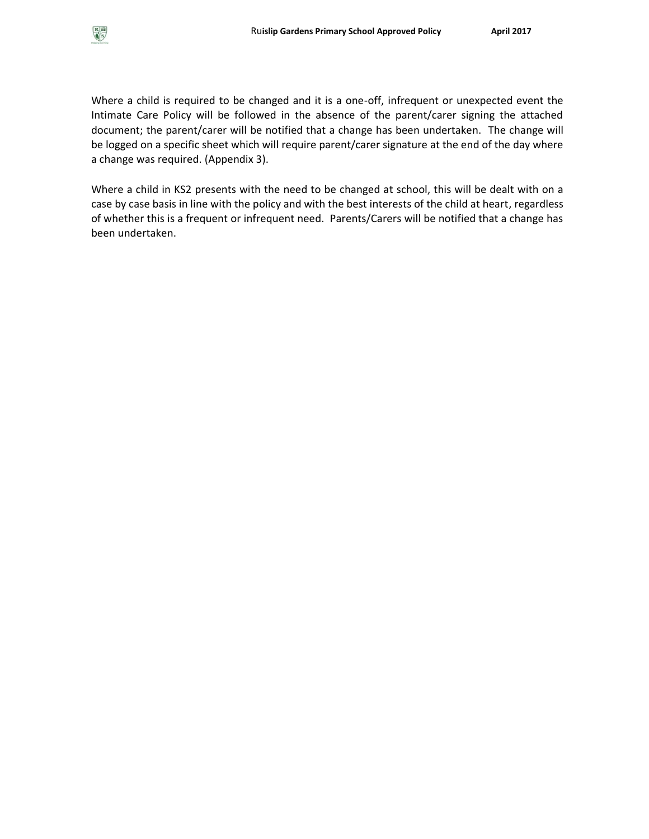

Where a child is required to be changed and it is a one-off, infrequent or unexpected event the Intimate Care Policy will be followed in the absence of the parent/carer signing the attached document; the parent/carer will be notified that a change has been undertaken. The change will be logged on a specific sheet which will require parent/carer signature at the end of the day where a change was required. (Appendix 3).

Where a child in KS2 presents with the need to be changed at school, this will be dealt with on a case by case basis in line with the policy and with the best interests of the child at heart, regardless of whether this is a frequent or infrequent need. Parents/Carers will be notified that a change has been undertaken.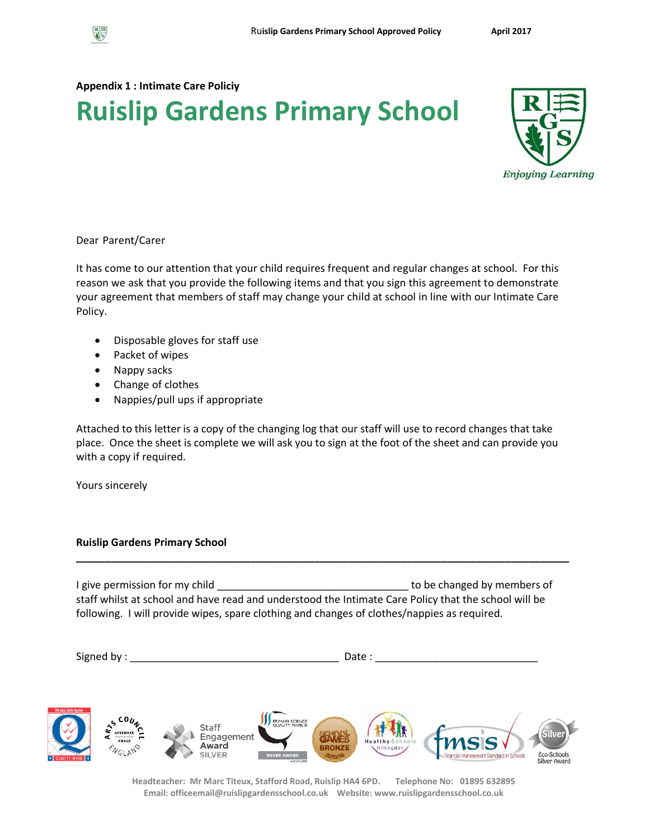

### **Appendix 1 : Intimate Care Policiy**

# **Ruislip Gardens Primary School**



### Dear Parent/Carer

It has come to our attention that your child requires frequent and regular changes at school. For this reason we ask that you provide the following items and that you sign this agreement to demonstrate your agreement that members of staff may change your child at school in line with our Intimate Care Policy.

- Disposable gloves for staff use
- Packet of wipes
- Nappy sacks
- Change of clothes
- Nappies/pull ups if appropriate

Attached to this letter is a copy of the changing log that our staff will use to record changes that take place. Once the sheet is complete we will ask you to sign at the foot of the sheet and can provide you with a copy if required.

Yours sincerely

### **Ruislip Gardens Primary School**

I give permission for my child **EXECUTE:** The state of the changed by members of staff whilst at school and have read and understood the Intimate Care Policy that the school will be following. I will provide wipes, spare clothing and changes of clothes/nappies as required.

**\_\_\_\_\_\_\_\_\_\_\_\_\_\_\_\_\_\_\_\_\_\_\_\_\_\_\_\_\_\_\_\_\_\_\_\_\_\_\_\_\_\_\_\_\_\_\_\_\_\_\_\_\_\_\_\_\_\_\_\_\_\_\_\_\_\_\_\_\_\_\_\_\_\_\_\_\_\_\_\_\_\_\_\_\_**

Signed by : \_\_\_\_\_\_\_\_\_\_\_\_\_\_\_\_\_\_\_\_\_\_\_\_\_\_\_\_\_\_\_\_\_\_\_\_ Date : \_\_\_\_\_\_\_\_\_\_\_\_\_\_\_\_\_\_\_\_\_\_\_\_\_\_\_\_



**Headteacher: Mr Marc Titeux, Stafford Road, Ruislip HA4 6PD. Telephone No: 01895 632895 Email: officeemail@ruislipgardensschool.co.uk Website: www.ruislipgardensschool.co.uk**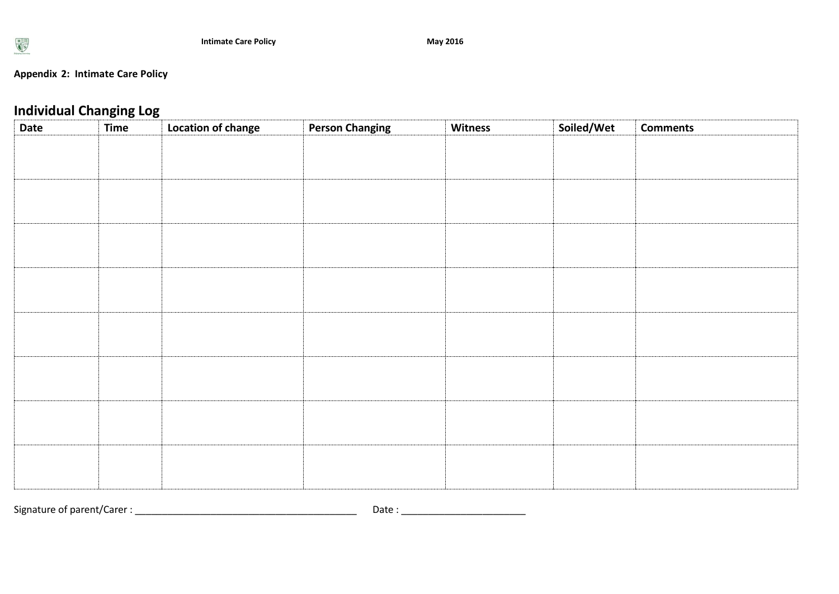

## **Appendix 2: Intimate Care Policy**

# **Individual Changing Log**

| <b>INDIVIQUAL CHANGING LUS</b><br><b>Date</b> | <b>Time</b> | Location of change | <b>Person Changing</b> | Witness | Soiled/Wet | <b>Comments</b> |
|-----------------------------------------------|-------------|--------------------|------------------------|---------|------------|-----------------|
|                                               |             |                    |                        |         |            |                 |
|                                               |             |                    |                        |         |            |                 |
|                                               |             |                    |                        |         |            |                 |
|                                               |             |                    |                        |         |            |                 |
|                                               |             |                    |                        |         |            |                 |
|                                               |             |                    |                        |         |            |                 |
|                                               |             |                    |                        |         |            |                 |
|                                               |             |                    |                        |         |            |                 |
|                                               |             |                    |                        |         |            |                 |
|                                               |             |                    |                        |         |            |                 |
|                                               |             |                    |                        |         |            |                 |
|                                               |             |                    |                        |         |            |                 |
|                                               |             |                    |                        |         |            |                 |
|                                               |             |                    |                        |         |            |                 |
|                                               |             |                    |                        |         |            |                 |
|                                               |             |                    |                        |         |            |                 |
|                                               |             |                    |                        |         |            |                 |
|                                               |             |                    |                        |         |            |                 |
|                                               |             |                    |                        |         |            |                 |
|                                               |             |                    |                        |         |            |                 |
|                                               |             |                    |                        |         |            |                 |

Signature of parent/Carer : \_\_\_\_\_\_\_\_\_\_\_\_\_\_\_\_\_\_\_\_\_\_\_\_\_\_\_\_\_\_\_\_\_\_\_\_\_\_\_\_\_ Date : \_\_\_\_\_\_\_\_\_\_\_\_\_\_\_\_\_\_\_\_\_\_\_